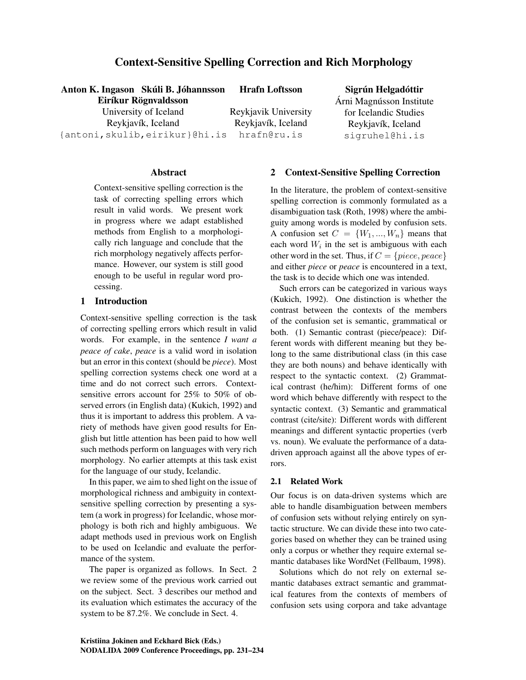# Context-Sensitive Spelling Correction and Rich Morphology

### Anton K. Ingason Skúli B. Jóhannsson Eiríkur Rögnvaldsson

University of Iceland Reykjavík, Iceland {antoni,skulib,eirikur}@hi.is

Hrafn Loftsson

Reykjavik University Reykjavík, Iceland hrafn@ru.is

# Sigrún Helgadóttir

Árni Magnússon Institute for Icelandic Studies Reykjavík, Iceland sigruhel@hi.is

### **Abstract**

Context-sensitive spelling correction is the task of correcting spelling errors which result in valid words. We present work in progress where we adapt established methods from English to a morphologically rich language and conclude that the rich morphology negatively affects performance. However, our system is still good enough to be useful in regular word processing.

### 1 Introduction

Context-sensitive spelling correction is the task of correcting spelling errors which result in valid words. For example, in the sentence *I want a peace of cake*, *peace* is a valid word in isolation but an error in this context (should be *piece*). Most spelling correction systems check one word at a time and do not correct such errors. Contextsensitive errors account for 25% to 50% of observed errors (in English data) (Kukich, 1992) and thus it is important to address this problem. A variety of methods have given good results for English but little attention has been paid to how well such methods perform on languages with very rich morphology. No earlier attempts at this task exist for the language of our study, Icelandic.

In this paper, we aim to shed light on the issue of morphological richness and ambiguity in contextsensitive spelling correction by presenting a system (a work in progress) for Icelandic, whose morphology is both rich and highly ambiguous. We adapt methods used in previous work on English to be used on Icelandic and evaluate the performance of the system.

The paper is organized as follows. In Sect. 2 we review some of the previous work carried out on the subject. Sect. 3 describes our method and its evaluation which estimates the accuracy of the system to be 87.2%. We conclude in Sect. 4.

### 2 Context-Sensitive Spelling Correction

In the literature, the problem of context-sensitive spelling correction is commonly formulated as a disambiguation task (Roth, 1998) where the ambiguity among words is modeled by confusion sets. A confusion set  $C = \{W_1, ..., W_n\}$  means that each word  $W_i$  in the set is ambiguous with each other word in the set. Thus, if  $C = \{piece, peace\}$ and either *piece* or *peace* is encountered in a text, the task is to decide which one was intended.

Such errors can be categorized in various ways (Kukich, 1992). One distinction is whether the contrast between the contexts of the members of the confusion set is semantic, grammatical or both. (1) Semantic contrast (piece/peace): Different words with different meaning but they belong to the same distributional class (in this case they are both nouns) and behave identically with respect to the syntactic context. (2) Grammatical contrast (he/him): Different forms of one word which behave differently with respect to the syntactic context. (3) Semantic and grammatical contrast (cite/site): Different words with different meanings and different syntactic properties (verb vs. noun). We evaluate the performance of a datadriven approach against all the above types of errors.

## 2.1 Related Work

Our focus is on data-driven systems which are able to handle disambiguation between members of confusion sets without relying entirely on syntactic structure. We can divide these into two categories based on whether they can be trained using only a corpus or whether they require external semantic databases like WordNet (Fellbaum, 1998).

Solutions which do not rely on external semantic databases extract semantic and grammatical features from the contexts of members of confusion sets using corpora and take advantage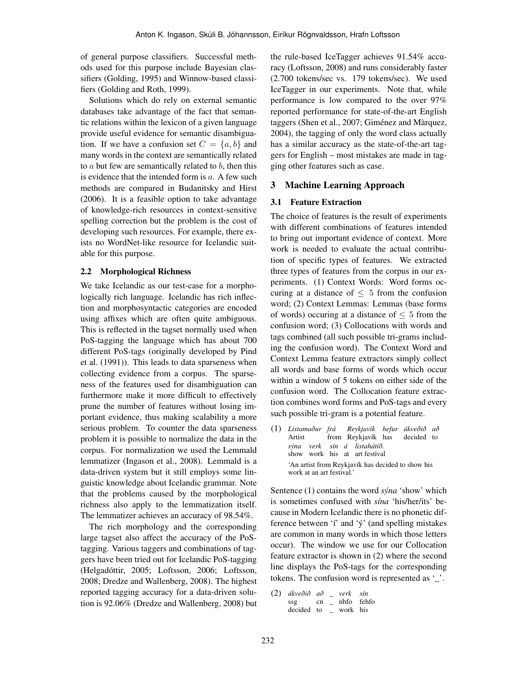of general purpose classifiers. Successful methods used for this purpose include Bayesian classifiers (Golding, 1995) and Winnow-based classifiers (Golding and Roth, 1999).

Solutions which do rely on external semantic databases take advantage of the fact that semantic relations within the lexicon of a given language provide useful evidence for semantic disambiguation. If we have a confusion set  $C = \{a, b\}$  and many words in the context are semantically related to  $a$  but few are semantically related to  $b$ , then this is evidence that the intended form is  $a$ . A few such methods are compared in Budanitsky and Hirst (2006). It is a feasible option to take advantage of knowledge-rich resources in context-sensitive spelling correction but the problem is the cost of developing such resources. For example, there exists no WordNet-like resource for Icelandic suitable for this purpose.

#### 2.2 Morphological Richness

We take Icelandic as our test-case for a morphologically rich language. Icelandic has rich inflection and morphosyntactic categories are encoded using affixes which are often quite ambiguous. This is reflected in the tagset normally used when PoS-tagging the language which has about 700 different PoS-tags (originally developed by Pind et al. (1991)). This leads to data sparseness when collecting evidence from a corpus. The sparseness of the features used for disambiguation can furthermore make it more difficult to effectively prune the number of features without losing important evidence, thus making scalability a more serious problem. To counter the data sparseness problem it is possible to normalize the data in the corpus. For normalization we used the Lemmald lemmatizer (Ingason et al., 2008). Lemmald is a data-driven system but it still employs some linguistic knowledge about Icelandic grammar. Note that the problems caused by the morphological richness also apply to the lemmatization itself. The lemmatizer achieves an accuracy of 98.54%.

The rich morphology and the corresponding large tagset also affect the accuracy of the PoStagging. Various taggers and combinations of taggers have been tried out for Icelandic PoS-tagging (Helgadóttir, 2005; Loftsson, 2006; Loftsson, 2008; Dredze and Wallenberg, 2008). The highest reported tagging accuracy for a data-driven solution is 92.06% (Dredze and Wallenberg, 2008) but the rule-based IceTagger achieves 91.54% accuracy (Loftsson, 2008) and runs considerably faster (2.700 tokens/sec vs. 179 tokens/sec). We used IceTagger in our experiments. Note that, while performance is low compared to the over 97% reported performance for state-of-the-art English taggers (Shen et al., 2007; Giménez and Màrquez, 2004), the tagging of only the word class actually has a similar accuracy as the state-of-the-art taggers for English – most mistakes are made in tagging other features such as case.

#### 3 Machine Learning Approach

### 3.1 Feature Extraction

The choice of features is the result of experiments with different combinations of features intended to bring out important evidence of context. More work is needed to evaluate the actual contribution of specific types of features. We extracted three types of features from the corpus in our experiments. (1) Context Words: Word forms occuring at a distance of  $\leq 5$  from the confusion word; (2) Context Lemmas: Lemmas (base forms of words) occuring at a distance of  $\leq 5$  from the confusion word; (3) Collocations with words and tags combined (all such possible tri-grams including the confusion word). The Context Word and Context Lemma feature extractors simply collect all words and base forms of words which occur within a window of 5 tokens on either side of the confusion word. The Collocation feature extraction combines word forms and PoS-tags and every such possible tri-gram is a potential feature.

(1) *Listamaður frá* Artist from Reykjavík has *Reykjavík hefur ákveðið að* decided to *sýna verk sín á listahátíð.* show work his at art festival 'An artist from Reykjavík has decided to show his work at an art festival.'

Sentence (1) contains the word *sýna* 'show' which is sometimes confused with *sína* 'his/her/its' because in Modern Icelandic there is no phonetic difference between 'í' and 'ý' (and spelling mistakes are common in many words in which those letters occur). The window we use for our Collocation feature extractor is shown in (2) where the second line displays the PoS-tags for the corresponding tokens. The confusion word is represented as '\_'.

```
(2) ákveðið
að
_
verk
sín
    ssg
    decided
to
_
work
his
            cn
_
nhfo
fehfo
```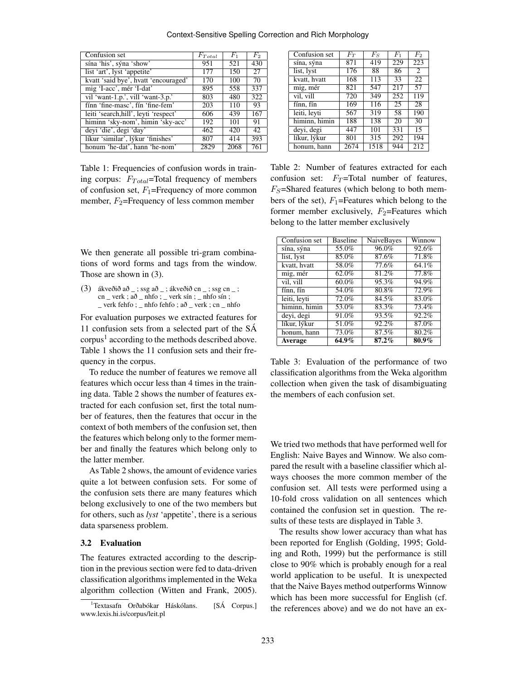#### Context-Sensitive Spelling Correction and Rich Morphology

| $F_{Total}$<br>951 | $F_1$<br>521 | $F_2$ |
|--------------------|--------------|-------|
|                    |              |       |
|                    |              | 430   |
| 177                | 150          | 27    |
| 170                | 100          | 70    |
| 895                | 558          | 337   |
| 803                | 480          | 322   |
| 203                | 110          | 93    |
| 606                | 439          | 167   |
| 192                | 101          | 91    |
| 462                | 420          | 42    |
| 807                | 414          | 393   |
| 2829               | 2068         | 761   |
|                    |              |       |

Table 1: Frequencies of confusion words in training corpus:  $F_{Total}$ =Total frequency of members of confusion set,  $F_1$ =Frequency of more common member,  $F_2$ =Frequency of less common member

We then generate all possible tri-gram combinations of word forms and tags from the window. Those are shown in (3).

(3) ákveðið að \_; ssg að \_; ákveðið cn \_; ssg cn \_; cn \_ verk ; að \_ nhfo ; \_ verk sín ; \_ nhfo sín ; \_ verk fehfo ; \_ nhfo fehfo ; að \_ verk ; cn \_ nhfo

For evaluation purposes we extracted features for 11 confusion sets from a selected part of the SÁ  $\text{corpus}^1$  according to the methods described above. Table 1 shows the 11 confusion sets and their frequency in the corpus.

To reduce the number of features we remove all features which occur less than 4 times in the training data. Table 2 shows the number of features extracted for each confusion set, first the total number of features, then the features that occur in the context of both members of the confusion set, then the features which belong only to the former member and finally the features which belong only to the latter member.

As Table 2 shows, the amount of evidence varies quite a lot between confusion sets. For some of the confusion sets there are many features which belong exclusively to one of the two members but for others, such as *lyst* 'appetite', there is a serious data sparseness problem.

### 3.2 Evaluation

The features extracted according to the description in the previous section were fed to data-driven classification algorithms implemented in the Weka algorithm collection (Witten and Frank, 2005).

| Confusion set | $F_T$ | $F_S$ | $F_{1}$         | $F_2$ |
|---------------|-------|-------|-----------------|-------|
| sína, sýna    | 871   | 419   | 229             | 223   |
| list, lyst    | 176   | 88    | 86              | 2     |
| kvatt, hvatt  | 168   | 113   | 33              | 22    |
| mig, mér      | 821   | 547   | 217             | 57    |
| vil, vill     | 720   | 349   | 252             | 119   |
| fínn, fín     | 169   | 116   | $\overline{2}5$ | 28    |
| leiti, leyti  | 567   | 319   | 58              | 190   |
| himinn, himin | 188   | 138   | 20              | 30    |
| deyi, degi    | 447   | 101   | 331             | 15    |
| líkur, lýkur  | 801   | 315   | 292             | 194   |
| honum, hann   | 2674  | 1518  | 944             | 212   |

Table 2: Number of features extracted for each confusion set:  $F_T$ =Total number of features,  $F_S$ =Shared features (which belong to both members of the set),  $F_1$ =Features which belong to the former member exclusively,  $F_2$ =Features which belong to the latter member exclusively

| Confusion set | <b>Baseline</b>     | <b>NaiveBayes</b> | Winnow              |
|---------------|---------------------|-------------------|---------------------|
| sína, sýna    | $55.\overline{0\%}$ | 96.0%             | 92.6%               |
| list, lyst    | 85.0%               | 87.6%             | 71.8%               |
| kvatt, hvatt  | 58.0%               | 77.6%             | 64.1%               |
| mig, mér      | 62.0%               | 81.2%             | 77.8%               |
| vil, vill     | $60.0\%$            | 95.3%             | 94.9%               |
| fínn, fín     | 54.0%               | 80.8%             | 72.9%               |
| leiti, leyti  | 72.0%               | 84.5%             | 83.0%               |
| himinn, himin | 53.0%               | 83.3%             | $73.\overline{4\%}$ |
| deyi, degi    | 91.0%               | 93.5%             | 92.2%               |
| líkur, lýkur  | 51.0%               | $92.2\%$          | 87.0%               |
| honum, hann   | 73.0%               | 87.5%             | 80.2%               |
| Average       | $64.9\%$            | $87.2\%$          | $80.9\%$            |

Table 3: Evaluation of the performance of two classification algorithms from the Weka algorithm collection when given the task of disambiguating the members of each confusion set.

We tried two methods that have performed well for English: Naive Bayes and Winnow. We also compared the result with a baseline classifier which always chooses the more common member of the confusion set. All tests were performed using a 10-fold cross validation on all sentences which contained the confusion set in question. The results of these tests are displayed in Table 3.

The results show lower accuracy than what has been reported for English (Golding, 1995; Golding and Roth, 1999) but the performance is still close to 90% which is probably enough for a real world application to be useful. It is unexpected that the Naive Bayes method outperforms Winnow which has been more successful for English (cf. the references above) and we do not have an ex-

<sup>&</sup>lt;sup>1</sup>Textasafn Orðabókar Háskólans. [SÁ Corpus.] www.lexis.hi.is/corpus/leit.pl